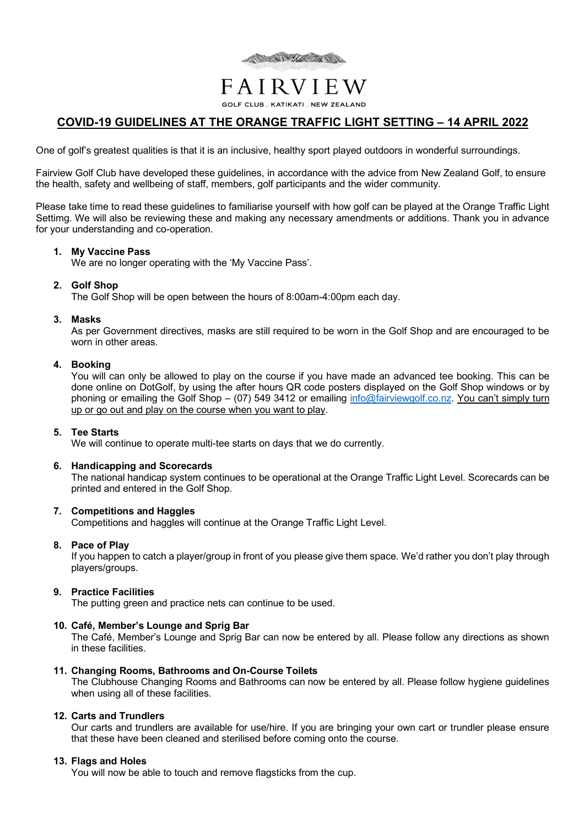

# FAIRVIEW

**GOLF CLUB. KATIKATI. NEW ZEALAND** 

# **COVID-19 GUIDELINES AT THE ORANGE TRAFFIC LIGHT SETTING – 14 APRIL 2022**

One of golf's greatest qualities is that it is an inclusive, healthy sport played outdoors in wonderful surroundings.

Fairview Golf Club have developed these guidelines, in accordance with the advice from New Zealand Golf, to ensure the health, safety and wellbeing of staff, members, golf participants and the wider community.

Please take time to read these guidelines to familiarise yourself with how golf can be played at the Orange Traffic Light Settimg. We will also be reviewing these and making any necessary amendments or additions. Thank you in advance for your understanding and co-operation.

# **1. My Vaccine Pass**

We are no longer operating with the 'My Vaccine Pass'.

# **2. Golf Shop**

The Golf Shop will be open between the hours of 8:00am-4:00pm each day.

### **3. Masks**

As per Government directives, masks are still required to be worn in the Golf Shop and are encouraged to be worn in other areas.

### **4. Booking**

You will can only be allowed to play on the course if you have made an advanced tee booking. This can be done online on DotGolf, by using the after hours QR code posters displayed on the Golf Shop windows or by phoning or emailing the Golf Shop – (07) 549 3412 or emailing info@fairviewgolf.co.nz. You can't simply turn up or go out and play on the course when you want to play.

# **5. Tee Starts**

We will continue to operate multi-tee starts on days that we do currently.

# **6. Handicapping and Scorecards**

The national handicap system continues to be operational at the Orange Traffic Light Level. Scorecards can be printed and entered in the Golf Shop.

#### **7. Competitions and Haggles**

Competitions and haggles will continue at the Orange Traffic Light Level.

#### **8. Pace of Play**

If you happen to catch a player/group in front of you please give them space. We'd rather you don't play through players/groups.

#### **9. Practice Facilities**

The putting green and practice nets can continue to be used.

# **10. Café, Member's Lounge and Sprig Bar**

The Café, Member's Lounge and Sprig Bar can now be entered by all. Please follow any directions as shown in these facilities.

#### **11. Changing Rooms, Bathrooms and On-Course Toilets**

The Clubhouse Changing Rooms and Bathrooms can now be entered by all. Please follow hygiene guidelines when using all of these facilities.

#### **12. Carts and Trundlers**

Our carts and trundlers are available for use/hire. If you are bringing your own cart or trundler please ensure that these have been cleaned and sterilised before coming onto the course.

#### **13. Flags and Holes**

You will now be able to touch and remove flagsticks from the cup.